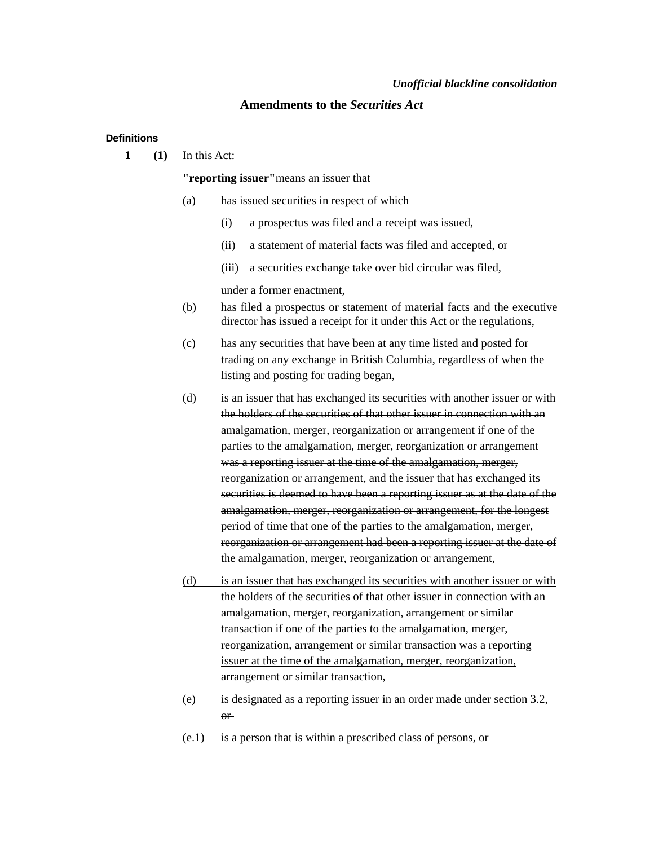# *Unofficial blackline consolidation*

# **Amendments to the** *Securities Act*

## **Definitions**

**1 (1)** In this Act:

**"reporting issuer"**means an issuer that

- (a) has issued securities in respect of which
	- (i) a prospectus was filed and a receipt was issued,
	- (ii) a statement of material facts was filed and accepted, or
	- (iii) a securities exchange take over bid circular was filed,

under a former enactment,

- (b) has filed a prospectus or statement of material facts and the executive director has issued a receipt for it under this Act or the regulations,
- (c) has any securities that have been at any time listed and posted for trading on any exchange in British Columbia, regardless of when the listing and posting for trading began,
- (d) is an issuer that has exchanged its securities with another issuer or with the holders of the securities of that other issuer in connection with an amalgamation, merger, reorganization or arrangement if one of the parties to the amalgamation, merger, reorganization or arrangement was a reporting issuer at the time of the amalgamation, merger, reorganization or arrangement, and the issuer that has exchanged its securities is deemed to have been a reporting issuer as at the date of the amalgamation, merger, reorganization or arrangement, for the longest period of time that one of the parties to the amalgamation, merger, reorganization or arrangement had been a reporting issuer at the date of the amalgamation, merger, reorganization or arrangement,
- (d) is an issuer that has exchanged its securities with another issuer or with the holders of the securities of that other issuer in connection with an amalgamation, merger, reorganization, arrangement or similar transaction if one of the parties to the amalgamation, merger, reorganization, arrangement or similar transaction was a reporting issuer at the time of the amalgamation, merger, reorganization, arrangement or similar transaction,
- (e) is designated as a reporting issuer in an order made under section 3.2, or
- (e.1) is a person that is within a prescribed class of persons, or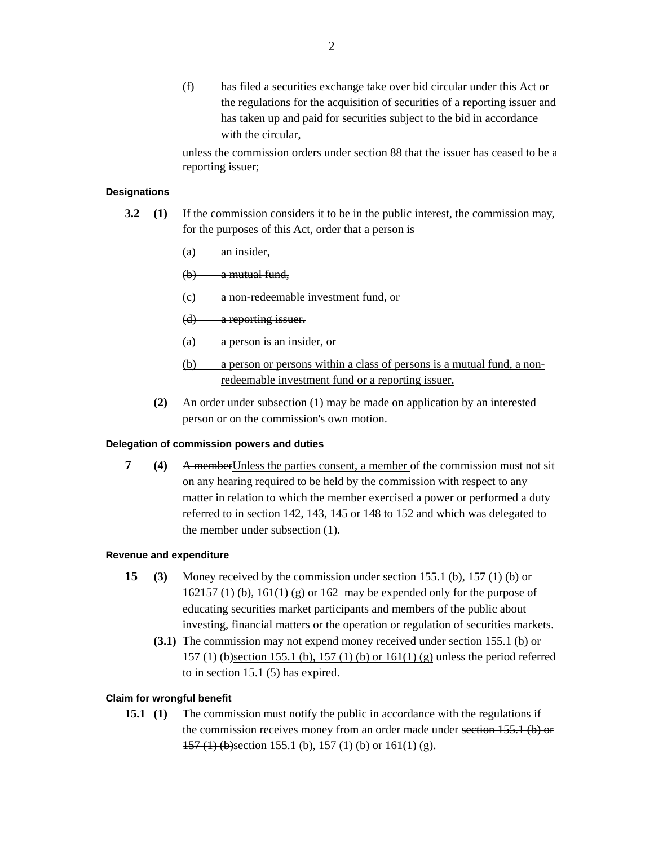(f) has filed a securities exchange take over bid circular under this Act or the regulations for the acquisition of securities of a reporting issuer and has taken up and paid for securities subject to the bid in accordance with the circular,

unless the commission orders under section 88 that the issuer has ceased to be a reporting issuer;

## **Designations**

**3.2 (1)** If the commission considers it to be in the public interest, the commission may, for the purposes of this Act, order that a person is

 $(a)$  an insider,

(b) a mutual fund,

(c) a non-redeemable investment fund, or

- (d) a reporting issuer.
- (a) a person is an insider, or
- (b) a person or persons within a class of persons is a mutual fund, a nonredeemable investment fund or a reporting issuer.
- **(2)** An order under subsection (1) may be made on application by an interested person or on the commission's own motion.

# **Delegation of commission powers and duties**

**7 (4)** A memberUnless the parties consent, a member of the commission must not sit on any hearing required to be held by the commission with respect to any matter in relation to which the member exercised a power or performed a duty referred to in section 142, 143, 145 or 148 to 152 and which was delegated to the member under subsection (1).

#### **Revenue and expenditure**

- **15 (3)** Money received by the commission under section 155.1 (b),  $\frac{157(1)}{100}$  or 162157 (1) (b), 161(1) (g) or 162 may be expended only for the purpose of educating securities market participants and members of the public about investing, financial matters or the operation or regulation of securities markets.
	- **(3.1)** The commission may not expend money received under section 155.1 (b) or 157 (1) (b)section 155.1 (b), 157 (1) (b) or 161(1) (g) unless the period referred to in section 15.1 (5) has expired.

# **Claim for wrongful benefit**

**15.1** (1) The commission must notify the public in accordance with the regulations if the commission receives money from an order made under section 155.1 (b) or  $157$  (1) (b) section 155.1 (b), 157 (1) (b) or 161(1) (g).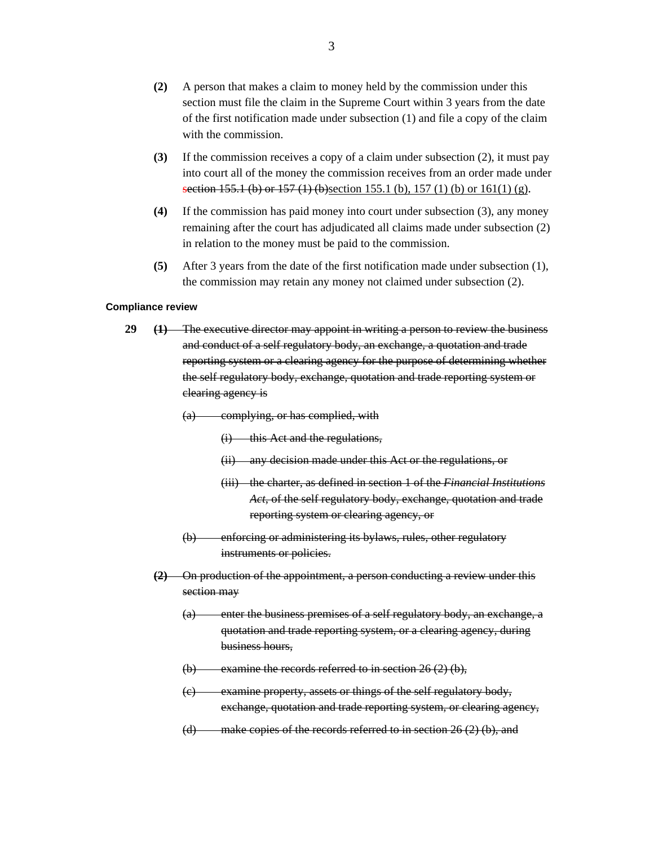- **(2)** A person that makes a claim to money held by the commission under this section must file the claim in the Supreme Court within 3 years from the date of the first notification made under subsection (1) and file a copy of the claim with the commission.
- **(3)** If the commission receives a copy of a claim under subsection (2), it must pay into court all of the money the commission receives from an order made under section 155.1 (b) or 157 (1) (b)section 155.1 (b), 157 (1) (b) or 161(1) (g).
- **(4)** If the commission has paid money into court under subsection (3), any money remaining after the court has adjudicated all claims made under subsection (2) in relation to the money must be paid to the commission.
- **(5)** After 3 years from the date of the first notification made under subsection (1), the commission may retain any money not claimed under subsection (2).

#### **Compliance review**

- **29 (1)** The executive director may appoint in writing a person to review the business and conduct of a self regulatory body, an exchange, a quotation and trade reporting system or a clearing agency for the purpose of determining whether the self regulatory body, exchange, quotation and trade reporting system or clearing agency is
	- (a) complying, or has complied, with
		- (i) this Act and the regulations,
		- (ii) any decision made under this Act or the regulations, or
		- (iii) the charter, as defined in section 1 of the *Financial Institutions Act*, of the self regulatory body, exchange, quotation and trade reporting system or clearing agency, or
	- (b) enforcing or administering its bylaws, rules, other regulatory instruments or policies.
	- **(2)** On production of the appointment, a person conducting a review under this section may
		- (a) enter the business premises of a self regulatory body, an exchange, a quotation and trade reporting system, or a clearing agency, during business hours,
		- $(b)$  examine the records referred to in section 26 (2) (b),
		- (c) examine property, assets or things of the self regulatory body, exchange, quotation and trade reporting system, or clearing agency,
		- (d) make copies of the records referred to in section 26 (2) (b), and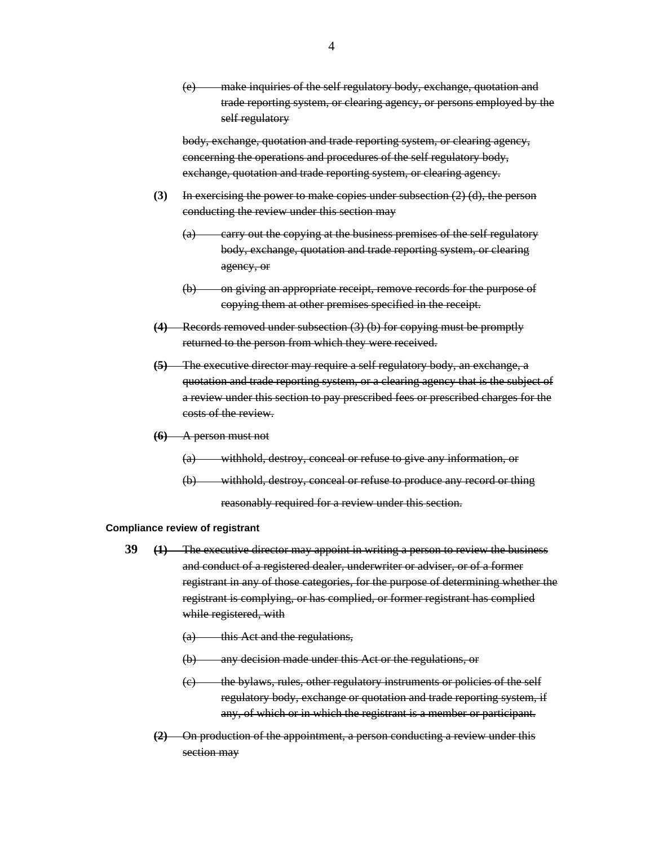(e) make inquiries of the self regulatory body, exchange, quotation and trade reporting system, or clearing agency, or persons employed by the self regulatory

body, exchange, quotation and trade reporting system, or clearing agency, concerning the operations and procedures of the self regulatory body, exchange, quotation and trade reporting system, or clearing agency.

- **(3)** In exercising the power to make copies under subsection (2) (d), the person conducting the review under this section may
	- (a) carry out the copying at the business premises of the self regulatory body, exchange, quotation and trade reporting system, or clearing agency, or
	- (b) on giving an appropriate receipt, remove records for the purpose of copying them at other premises specified in the receipt.
- **(4)** Records removed under subsection (3) (b) for copying must be promptly returned to the person from which they were received.
- **(5)** The executive director may require a self regulatory body, an exchange, a quotation and trade reporting system, or a clearing agency that is the subject of a review under this section to pay prescribed fees or prescribed charges for the costs of the review.
- **(6)** A person must not
	- (a) withhold, destroy, conceal or refuse to give any information, or
	- (b) withhold, destroy, conceal or refuse to produce any record or thing reasonably required for a review under this section.

#### **Compliance review of registrant**

- **39 (1)** The executive director may appoint in writing a person to review the business and conduct of a registered dealer, underwriter or adviser, or of a former registrant in any of those categories, for the purpose of determining whether the registrant is complying, or has complied, or former registrant has complied while registered, with
	- (a) this Act and the regulations,
	- (b) any decision made under this Act or the regulations, or
	- (c) the bylaws, rules, other regulatory instruments or policies of the self regulatory body, exchange or quotation and trade reporting system, if any, of which or in which the registrant is a member or participant.
	- **(2)** On production of the appointment, a person conducting a review under this section may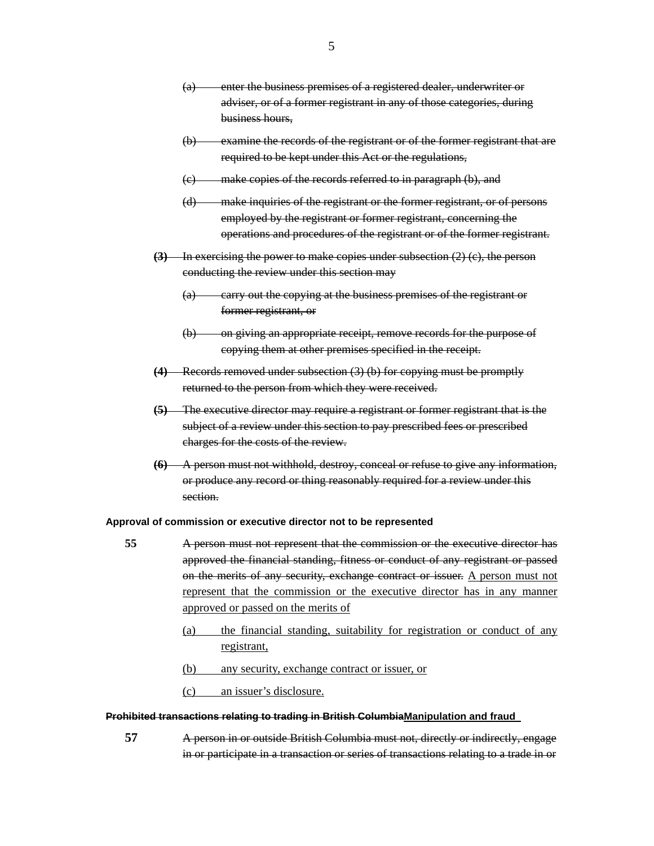- (a) enter the business premises of a registered dealer, underwriter or adviser, or of a former registrant in any of those categories, during business hours,
- (b) examine the records of the registrant or of the former registrant that are required to be kept under this Act or the regulations,
- (c) make copies of the records referred to in paragraph (b), and
- (d) make inquiries of the registrant or the former registrant, or of persons employed by the registrant or former registrant, concerning the operations and procedures of the registrant or of the former registrant.
- **(3)** In exercising the power to make copies under subsection (2) (c), the person conducting the review under this section may
	- (a) carry out the copying at the business premises of the registrant or former registrant, or
	- (b) on giving an appropriate receipt, remove records for the purpose of copying them at other premises specified in the receipt.
- **(4)** Records removed under subsection (3) (b) for copying must be promptly returned to the person from which they were received.
- **(5)** The executive director may require a registrant or former registrant that is the subject of a review under this section to pay prescribed fees or prescribed charges for the costs of the review.
- **(6)** A person must not withhold, destroy, conceal or refuse to give any information, or produce any record or thing reasonably required for a review under this section.

#### **Approval of commission or executive director not to be represented**

- **55** A person must not represent that the commission or the executive director has approved the financial standing, fitness or conduct of any registrant or passed on the merits of any security, exchange contract or issuer. A person must not represent that the commission or the executive director has in any manner approved or passed on the merits of
	- (a) the financial standing, suitability for registration or conduct of any registrant,
	- (b) any security, exchange contract or issuer, or
	- (c) an issuer's disclosure.

## **Prohibited transactions relating to trading in British ColumbiaManipulation and fraud**

**57** A person in or outside British Columbia must not, directly or indirectly, engage in or participate in a transaction or series of transactions relating to a trade in or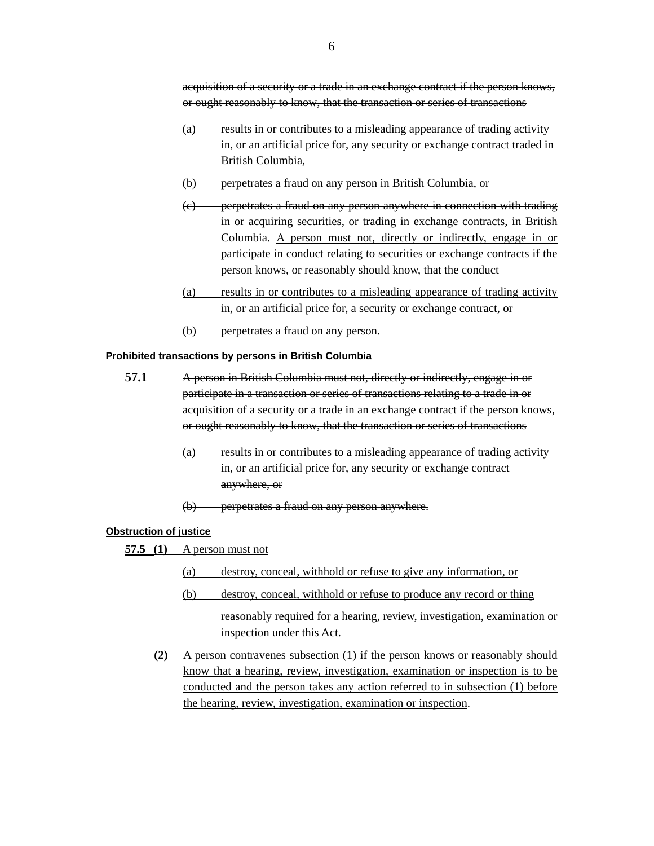acquisition of a security or a trade in an exchange contract if the person knows, or ought reasonably to know, that the transaction or series of transactions

- (a) results in or contributes to a misleading appearance of trading activity in, or an artificial price for, any security or exchange contract traded in British Columbia,
- (b) perpetrates a fraud on any person in British Columbia, or
- (c) perpetrates a fraud on any person anywhere in connection with trading in or acquiring securities, or trading in exchange contracts, in British Columbia. A person must not, directly or indirectly, engage in or participate in conduct relating to securities or exchange contracts if the person knows, or reasonably should know, that the conduct
- (a) results in or contributes to a misleading appearance of trading activity in, or an artificial price for, a security or exchange contract, or
- (b) perpetrates a fraud on any person.

## **Prohibited transactions by persons in British Columbia**

- **57.1** A person in British Columbia must not, directly or indirectly, engage in or participate in a transaction or series of transactions relating to a trade in or acquisition of a security or a trade in an exchange contract if the person knows, or ought reasonably to know, that the transaction or series of transactions
	- (a) results in or contributes to a misleading appearance of trading activity in, or an artificial price for, any security or exchange contract anywhere, or
	- (b) perpetrates a fraud on any person anywhere.

# **Obstruction of justice**

- **57.5 (1)** A person must not
	- (a) destroy, conceal, withhold or refuse to give any information, or
	- (b) destroy, conceal, withhold or refuse to produce any record or thing reasonably required for a hearing, review, investigation, examination or inspection under this Act.
	- **(2)** A person contravenes subsection (1) if the person knows or reasonably should know that a hearing, review, investigation, examination or inspection is to be conducted and the person takes any action referred to in subsection (1) before the hearing, review, investigation, examination or inspection.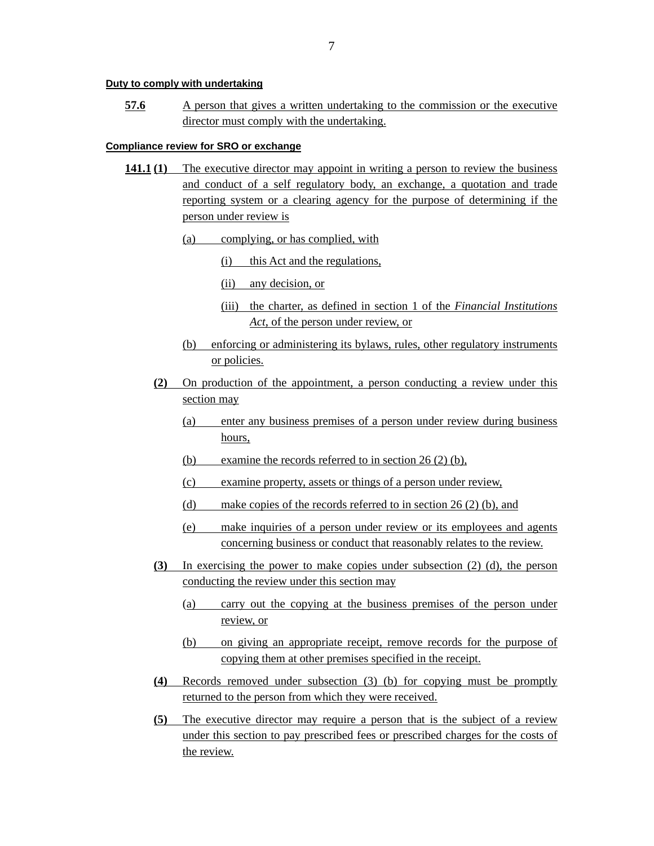## **Duty to comply with undertaking**

**57.6** A person that gives a written undertaking to the commission or the executive director must comply with the undertaking.

# **Compliance review for SRO or exchange**

- **141.1 (1)** The executive director may appoint in writing a person to review the business and conduct of a self regulatory body, an exchange, a quotation and trade reporting system or a clearing agency for the purpose of determining if the person under review is
	- (a) complying, or has complied, with
		- (i) this Act and the regulations,
		- (ii) any decision, or
		- (iii) the charter, as defined in section 1 of the *Financial Institutions Act*, of the person under review, or
	- (b) enforcing or administering its bylaws, rules, other regulatory instruments or policies.
	- **(2)** On production of the appointment, a person conducting a review under this section may
		- (a) enter any business premises of a person under review during business hours,
		- (b) examine the records referred to in section 26 (2) (b),
		- (c) examine property, assets or things of a person under review,
		- (d) make copies of the records referred to in section 26 (2) (b), and
		- (e) make inquiries of a person under review or its employees and agents concerning business or conduct that reasonably relates to the review.
	- **(3)** In exercising the power to make copies under subsection (2) (d), the person conducting the review under this section may
		- (a) carry out the copying at the business premises of the person under review, or
		- (b) on giving an appropriate receipt, remove records for the purpose of copying them at other premises specified in the receipt.
	- **(4)** Records removed under subsection (3) (b) for copying must be promptly returned to the person from which they were received.
	- **(5)** The executive director may require a person that is the subject of a review under this section to pay prescribed fees or prescribed charges for the costs of the review.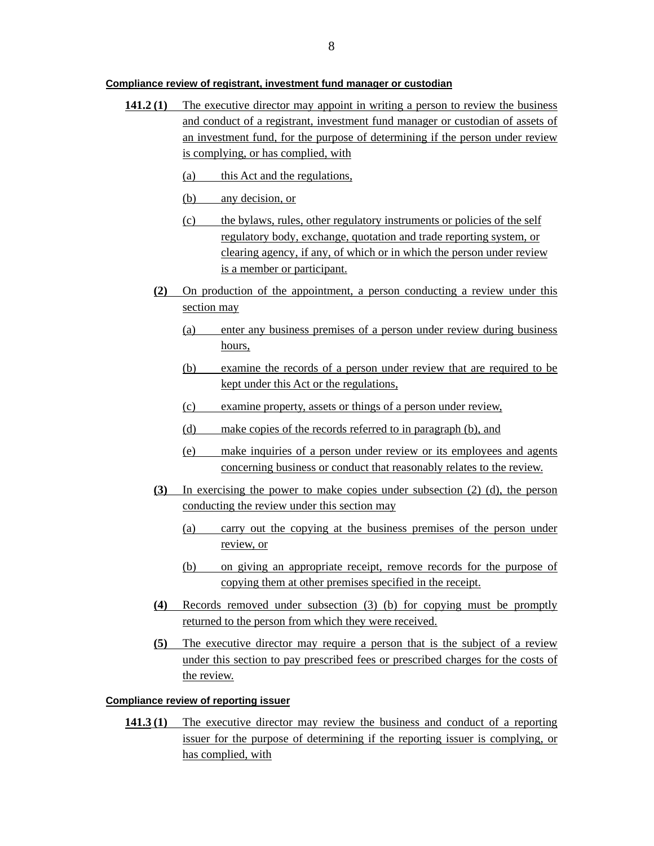#### **Compliance review of registrant, investment fund manager or custodian**

- **141.2 (1)** The executive director may appoint in writing a person to review the business and conduct of a registrant, investment fund manager or custodian of assets of an investment fund, for the purpose of determining if the person under review is complying, or has complied, with
	- (a) this Act and the regulations,
	- (b) any decision, or
	- (c) the bylaws, rules, other regulatory instruments or policies of the self regulatory body, exchange, quotation and trade reporting system, or clearing agency, if any, of which or in which the person under review is a member or participant.
	- **(2)** On production of the appointment, a person conducting a review under this section may
		- (a) enter any business premises of a person under review during business hours,
		- (b) examine the records of a person under review that are required to be kept under this Act or the regulations,
		- (c) examine property, assets or things of a person under review,
		- (d) make copies of the records referred to in paragraph (b), and
		- (e) make inquiries of a person under review or its employees and agents concerning business or conduct that reasonably relates to the review.
	- **(3)** In exercising the power to make copies under subsection (2) (d), the person conducting the review under this section may
		- (a) carry out the copying at the business premises of the person under review, or
		- (b) on giving an appropriate receipt, remove records for the purpose of copying them at other premises specified in the receipt.
	- **(4)** Records removed under subsection (3) (b) for copying must be promptly returned to the person from which they were received.
	- **(5)** The executive director may require a person that is the subject of a review under this section to pay prescribed fees or prescribed charges for the costs of the review.

# **Compliance review of reporting issuer**

**141.3 (1)** The executive director may review the business and conduct of a reporting issuer for the purpose of determining if the reporting issuer is complying, or has complied, with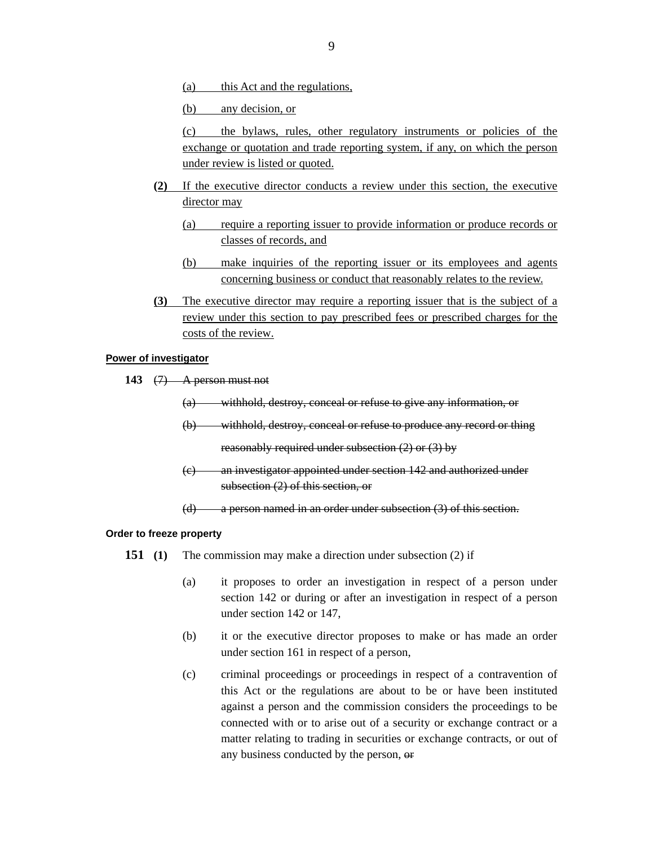(a) this Act and the regulations,

(b) any decision, or

(c) the bylaws, rules, other regulatory instruments or policies of the exchange or quotation and trade reporting system, if any, on which the person under review is listed or quoted.

- **(2)** If the executive director conducts a review under this section, the executive director may
	- (a) require a reporting issuer to provide information or produce records or classes of records, and
	- (b) make inquiries of the reporting issuer or its employees and agents concerning business or conduct that reasonably relates to the review.
- **(3)** The executive director may require a reporting issuer that is the subject of a review under this section to pay prescribed fees or prescribed charges for the costs of the review.

# **Power of investigator**

- **143** (7) A person must not
	- (a) withhold, destroy, conceal or refuse to give any information, or
	- (b) withhold, destroy, conceal or refuse to produce any record or thing reasonably required under subsection (2) or (3) by
	- (c) an investigator appointed under section 142 and authorized under subsection (2) of this section, or
	- (d) a person named in an order under subsection (3) of this section.

#### **Order to freeze property**

- **151 (1)** The commission may make a direction under subsection (2) if
	- (a) it proposes to order an investigation in respect of a person under section 142 or during or after an investigation in respect of a person under section 142 or 147,
	- (b) it or the executive director proposes to make or has made an order under section 161 in respect of a person,
	- (c) criminal proceedings or proceedings in respect of a contravention of this Act or the regulations are about to be or have been instituted against a person and the commission considers the proceedings to be connected with or to arise out of a security or exchange contract or a matter relating to trading in securities or exchange contracts, or out of any business conducted by the person, or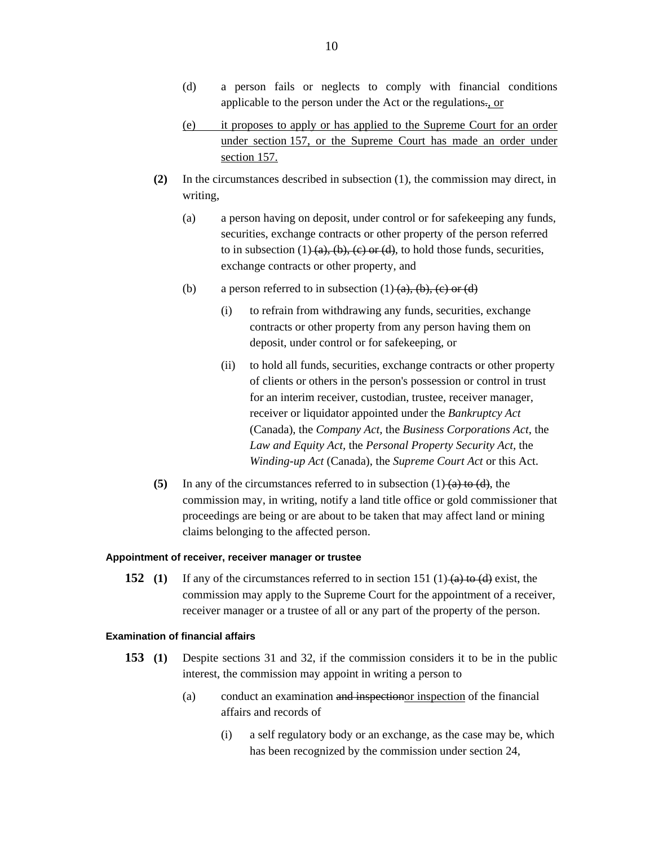- (d) a person fails or neglects to comply with financial conditions applicable to the person under the Act or the regulations., or
- (e) it proposes to apply or has applied to the Supreme Court for an order under section 157, or the Supreme Court has made an order under section 157.
- **(2)** In the circumstances described in subsection (1), the commission may direct, in writing,
	- (a) a person having on deposit, under control or for safekeeping any funds, securities, exchange contracts or other property of the person referred to in subsection  $(1)$  (a), (b), (c) or (d), to hold those funds, securities, exchange contracts or other property, and
	- (b) a person referred to in subsection  $(1)$   $(a)$ ,  $(b)$ ,  $(c)$  or  $(d)$ 
		- (i) to refrain from withdrawing any funds, securities, exchange contracts or other property from any person having them on deposit, under control or for safekeeping, or
		- (ii) to hold all funds, securities, exchange contracts or other property of clients or others in the person's possession or control in trust for an interim receiver, custodian, trustee, receiver manager, receiver or liquidator appointed under the *Bankruptcy Act* (Canada), the *Company Act,* the *Business Corporations Act*, the *Law and Equity Act,* the *Personal Property Security Act,* the *Winding-up Act* (Canada), the *Supreme Court Act* or this Act.
- **(5)** In any of the circumstances referred to in subsection (1) (a) to (d), the commission may, in writing, notify a land title office or gold commissioner that proceedings are being or are about to be taken that may affect land or mining claims belonging to the affected person.

## **Appointment of receiver, receiver manager or trustee**

**152 (1)** If any of the circumstances referred to in section 151 (1) (a) to (d) exist, the commission may apply to the Supreme Court for the appointment of a receiver, receiver manager or a trustee of all or any part of the property of the person.

# **Examination of financial affairs**

- **153 (1)** Despite sections 31 and 32, if the commission considers it to be in the public interest, the commission may appoint in writing a person to
	- (a) conduct an examination and inspectionor inspection of the financial affairs and records of
		- (i) a self regulatory body or an exchange, as the case may be, which has been recognized by the commission under section 24,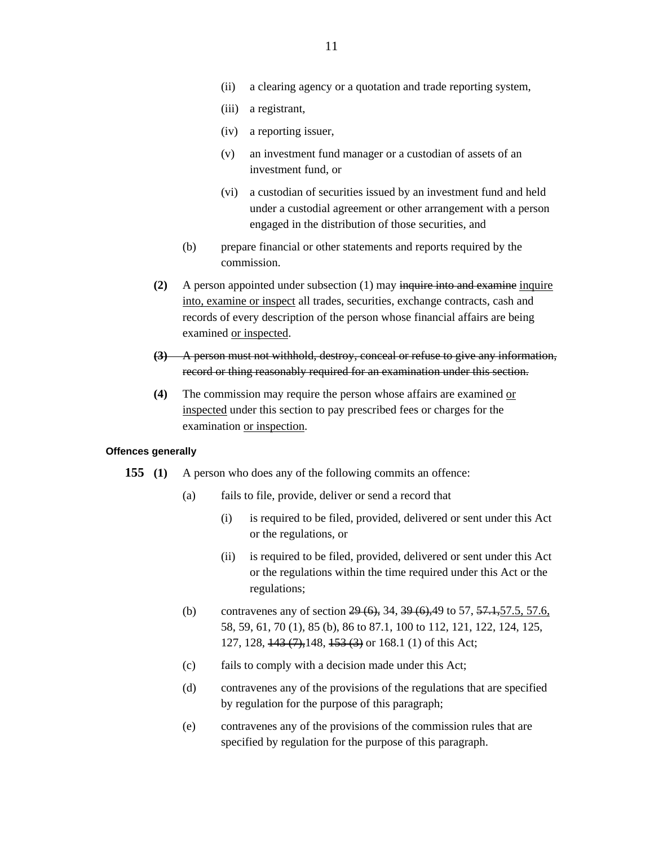- (ii) a clearing agency or a quotation and trade reporting system,
- (iii) a registrant,
- (iv) a reporting issuer,
- (v) an investment fund manager or a custodian of assets of an investment fund, or
- (vi) a custodian of securities issued by an investment fund and held under a custodial agreement or other arrangement with a person engaged in the distribution of those securities, and
- (b) prepare financial or other statements and reports required by the commission.
- **(2)** A person appointed under subsection (1) may inquire into and examine inquire into, examine or inspect all trades, securities, exchange contracts, cash and records of every description of the person whose financial affairs are being examined or inspected.
- **(3)** A person must not withhold, destroy, conceal or refuse to give any information, record or thing reasonably required for an examination under this section.
- **(4)** The commission may require the person whose affairs are examined or inspected under this section to pay prescribed fees or charges for the examination or inspection.

# **Offences generally**

- **155 (1)** A person who does any of the following commits an offence:
	- (a) fails to file, provide, deliver or send a record that
		- (i) is required to be filed, provided, delivered or sent under this Act or the regulations, or
		- (ii) is required to be filed, provided, delivered or sent under this Act or the regulations within the time required under this Act or the regulations;
	- (b) contravenes any of section  $29(6)$ , 34,  $39(6)$ , 49 to 57,  $57.1$ , 57.5, 57.6, 58, 59, 61, 70 (1), 85 (b), 86 to 87.1, 100 to 112, 121, 122, 124, 125, 127, 128, <del>143 (7),</del>148, <del>153 (3)</del> or 168.1 (1) of this Act;
	- (c) fails to comply with a decision made under this Act;
	- (d) contravenes any of the provisions of the regulations that are specified by regulation for the purpose of this paragraph;
	- (e) contravenes any of the provisions of the commission rules that are specified by regulation for the purpose of this paragraph.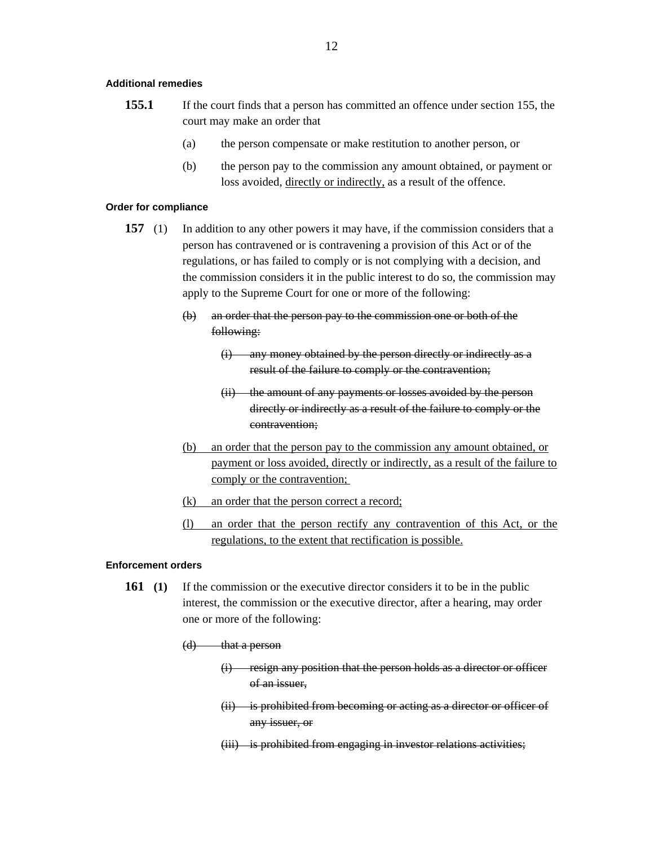## **Additional remedies**

- **155.1** If the court finds that a person has committed an offence under section 155, the court may make an order that
	- (a) the person compensate or make restitution to another person, or
	- (b) the person pay to the commission any amount obtained, or payment or loss avoided, directly or indirectly, as a result of the offence.

## **Order for compliance**

- **157** (1) In addition to any other powers it may have, if the commission considers that a person has contravened or is contravening a provision of this Act or of the regulations, or has failed to comply or is not complying with a decision, and the commission considers it in the public interest to do so, the commission may apply to the Supreme Court for one or more of the following:
	- (b) an order that the person pay to the commission one or both of the following:
		- (i) any money obtained by the person directly or indirectly as a result of the failure to comply or the contravention;
		- (ii) the amount of any payments or losses avoided by the person directly or indirectly as a result of the failure to comply or the contravention;
	- (b) an order that the person pay to the commission any amount obtained, or payment or loss avoided, directly or indirectly, as a result of the failure to comply or the contravention;
	- (k) an order that the person correct a record;
	- (l) an order that the person rectify any contravention of this Act, or the regulations, to the extent that rectification is possible.

# **Enforcement orders**

- **161 (1)** If the commission or the executive director considers it to be in the public interest, the commission or the executive director, after a hearing, may order one or more of the following:
	- (d) that a person
		- (i) resign any position that the person holds as a director or officer of an issuer,
		- (ii) is prohibited from becoming or acting as a director or officer of any issuer, or
		- (iii) is prohibited from engaging in investor relations activities;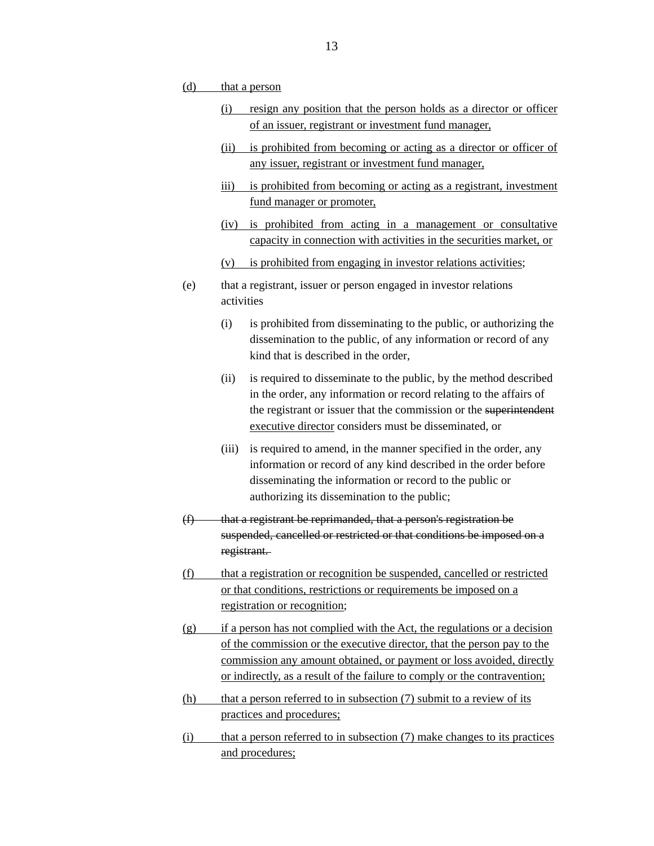- (d) that a person
	- (i) resign any position that the person holds as a director or officer of an issuer, registrant or investment fund manager,
	- (ii) is prohibited from becoming or acting as a director or officer of any issuer, registrant or investment fund manager,
	- iii) is prohibited from becoming or acting as a registrant, investment fund manager or promoter,
	- (iv) is prohibited from acting in a management or consultative capacity in connection with activities in the securities market, or
	- (v) is prohibited from engaging in investor relations activities;
- (e) that a registrant, issuer or person engaged in investor relations activities
	- (i) is prohibited from disseminating to the public, or authorizing the dissemination to the public, of any information or record of any kind that is described in the order,
	- (ii) is required to disseminate to the public, by the method described in the order, any information or record relating to the affairs of the registrant or issuer that the commission or the superintendent executive director considers must be disseminated, or
	- (iii) is required to amend, in the manner specified in the order, any information or record of any kind described in the order before disseminating the information or record to the public or authorizing its dissemination to the public;
- $(f)$  that a registrant be reprimanded, that a person's registration be suspended, cancelled or restricted or that conditions be imposed on a registrant.
- (f) that a registration or recognition be suspended, cancelled or restricted or that conditions, restrictions or requirements be imposed on a registration or recognition;
- (g) if a person has not complied with the Act, the regulations or a decision of the commission or the executive director, that the person pay to the commission any amount obtained, or payment or loss avoided, directly or indirectly, as a result of the failure to comply or the contravention;
- (h) that a person referred to in subsection (7) submit to a review of its practices and procedures;
- $(i)$  that a person referred to in subsection  $(7)$  make changes to its practices and procedures;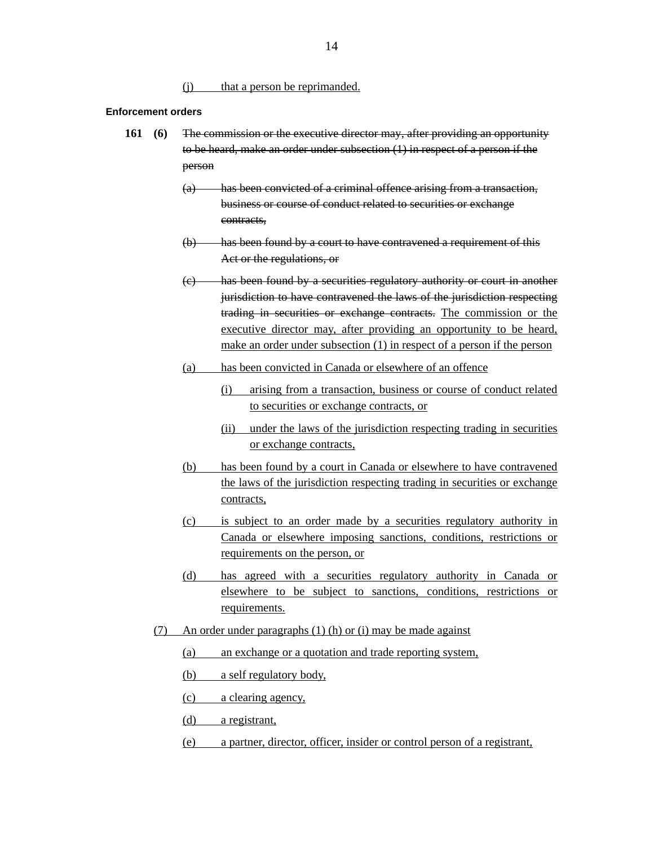(j) that a person be reprimanded.

## **Enforcement orders**

- **161 (6)** The commission or the executive director may, after providing an opportunity to be heard, make an order under subsection (1) in respect of a person if the person
	- (a) has been convicted of a criminal offence arising from a transaction, business or course of conduct related to securities or exchange contracts,
	- (b) has been found by a court to have contravened a requirement of this Act or the regulations, or
	- (c) has been found by a securities regulatory authority or court in another jurisdiction to have contravened the laws of the jurisdiction respecting trading in securities or exchange contracts. The commission or the executive director may, after providing an opportunity to be heard, make an order under subsection (1) in respect of a person if the person
	- (a) has been convicted in Canada or elsewhere of an offence
		- (i) arising from a transaction, business or course of conduct related to securities or exchange contracts, or
		- (ii) under the laws of the jurisdiction respecting trading in securities or exchange contracts,
	- (b) has been found by a court in Canada or elsewhere to have contravened the laws of the jurisdiction respecting trading in securities or exchange contracts,
	- (c) is subject to an order made by a securities regulatory authority in Canada or elsewhere imposing sanctions, conditions, restrictions or requirements on the person, or
	- (d) has agreed with a securities regulatory authority in Canada or elsewhere to be subject to sanctions, conditions, restrictions or requirements.
	- (7) An order under paragraphs (1) (h) or (i) may be made against
		- (a) an exchange or a quotation and trade reporting system,
		- (b) a self regulatory body,
		- (c) a clearing agency,
		- (d) a registrant,
		- (e) a partner, director, officer, insider or control person of a registrant,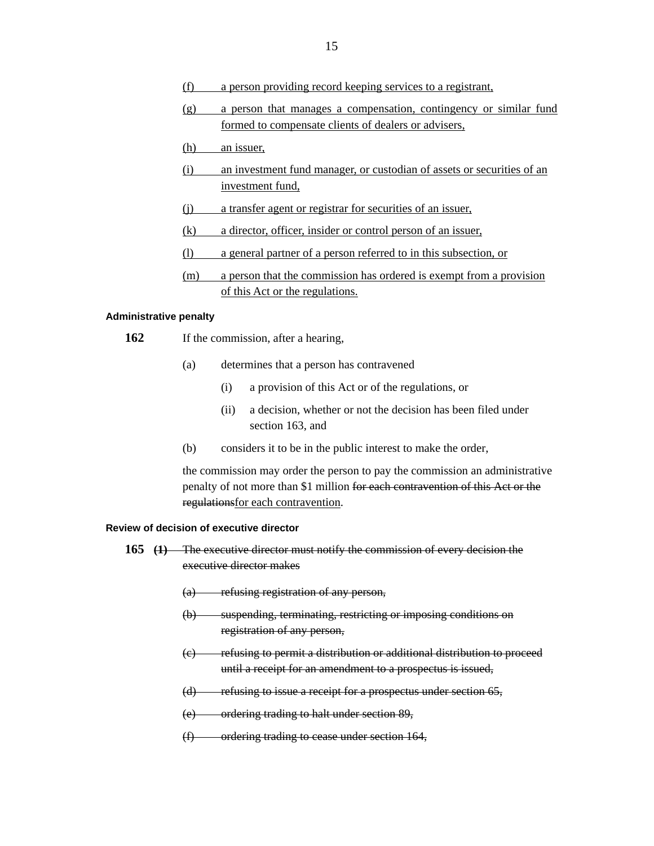- (f) a person providing record keeping services to a registrant,
- (g) a person that manages a compensation, contingency or similar fund formed to compensate clients of dealers or advisers,
- (h) an issuer,
- (i) an investment fund manager, or custodian of assets or securities of an investment fund,
- (j) a transfer agent or registrar for securities of an issuer,
- (k) a director, officer, insider or control person of an issuer,
- (l) a general partner of a person referred to in this subsection, or
- (m) a person that the commission has ordered is exempt from a provision of this Act or the regulations.

## **Administrative penalty**

- 162 If the commission, after a hearing,
	- (a) determines that a person has contravened
		- (i) a provision of this Act or of the regulations, or
		- (ii) a decision, whether or not the decision has been filed under section 163, and
	- (b) considers it to be in the public interest to make the order,

the commission may order the person to pay the commission an administrative penalty of not more than \$1 million for each contravention of this Act or the regulationsfor each contravention.

## **Review of decision of executive director**

- **165 (1)** The executive director must notify the commission of every decision the executive director makes
	- (a) refusing registration of any person,
	- (b) suspending, terminating, restricting or imposing conditions on registration of any person,
	- (c) refusing to permit a distribution or additional distribution to proceed until a receipt for an amendment to a prospectus is issued,
	- (d) refusing to issue a receipt for a prospectus under section 65,
	- (e) ordering trading to halt under section 89,
	- (f) ordering trading to cease under section 164,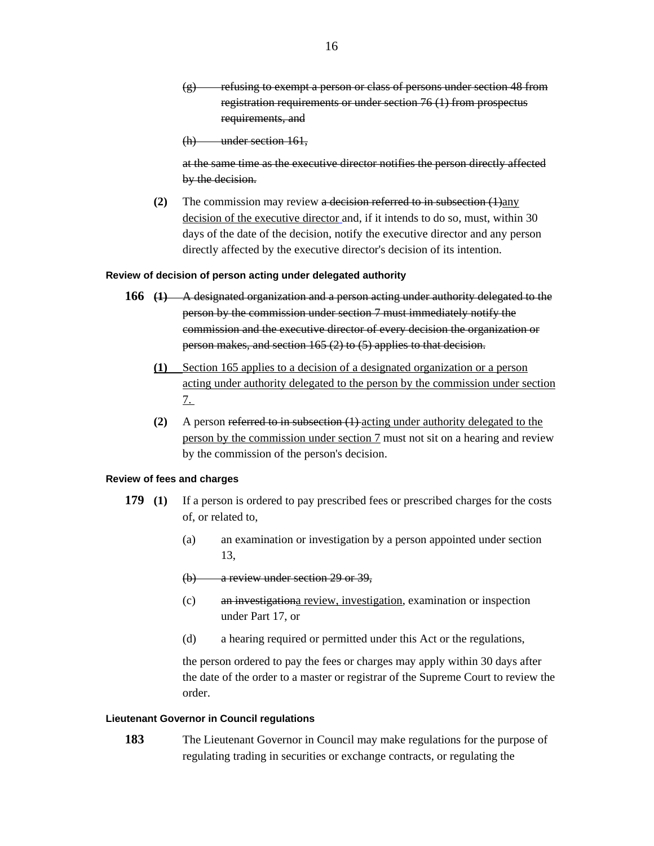$(g)$  refusing to exempt a person or class of persons under section 48 from registration requirements or under section 76 (1) from prospectus requirements, and

(h) under section 161,

at the same time as the executive director notifies the person directly affected by the decision.

**(2)** The commission may review a decision referred to in subsection (1)any decision of the executive director and, if it intends to do so, must, within 30 days of the date of the decision, notify the executive director and any person directly affected by the executive director's decision of its intention.

## **Review of decision of person acting under delegated authority**

- **166 (1)** A designated organization and a person acting under authority delegated to the person by the commission under section 7 must immediately notify the commission and the executive director of every decision the organization or person makes, and section 165 (2) to (5) applies to that decision.
	- **(1)** Section 165 applies to a decision of a designated organization or a person acting under authority delegated to the person by the commission under section 7.
	- **(2)** A person referred to in subsection (1) acting under authority delegated to the person by the commission under section 7 must not sit on a hearing and review by the commission of the person's decision.

#### **Review of fees and charges**

- **179 (1)** If a person is ordered to pay prescribed fees or prescribed charges for the costs of, or related to,
	- (a) an examination or investigation by a person appointed under section 13,
	- (b) a review under section 29 or 39,
	- (c) an investigationa review, investigation, examination or inspection under Part 17, or
	- (d) a hearing required or permitted under this Act or the regulations,

the person ordered to pay the fees or charges may apply within 30 days after the date of the order to a master or registrar of the Supreme Court to review the order.

# **Lieutenant Governor in Council regulations**

**183** The Lieutenant Governor in Council may make regulations for the purpose of regulating trading in securities or exchange contracts, or regulating the